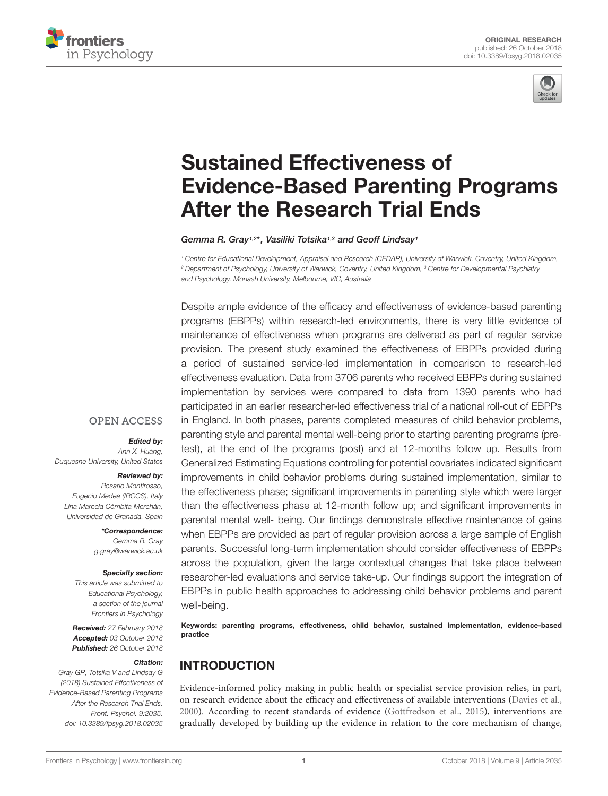



# Sustained Effectiveness of [Evidence-Based Parenting Programs](https://www.frontiersin.org/articles/10.3389/fpsyg.2018.02035/full) After the Research Trial Ends

[Gemma R. Gray](http://loop.frontiersin.org/people/525605/overview)<sup>1,2\*</sup>, [Vasiliki Totsika](http://loop.frontiersin.org/people/343048/overview)<sup>1,3</sup> and [Geoff Lindsay](http://loop.frontiersin.org/people/156288/overview)<sup>1</sup>

<sup>1</sup> Centre for Educational Development, Appraisal and Research (CEDAR), University of Warwick, Coventry, United Kingdom, <sup>2</sup> Department of Psychology, University of Warwick, Coventry, United Kingdom, <sup>3</sup> Centre for Developmental Psychiatry and Psychology, Monash University, Melbourne, VIC, Australia

Despite ample evidence of the efficacy and effectiveness of evidence-based parenting programs (EBPPs) within research-led environments, there is very little evidence of maintenance of effectiveness when programs are delivered as part of regular service provision. The present study examined the effectiveness of EBPPs provided during a period of sustained service-led implementation in comparison to research-led effectiveness evaluation. Data from 3706 parents who received EBPPs during sustained implementation by services were compared to data from 1390 parents who had participated in an earlier researcher-led effectiveness trial of a national roll-out of EBPPs in England. In both phases, parents completed measures of child behavior problems, parenting style and parental mental well-being prior to starting parenting programs (pretest), at the end of the programs (post) and at 12-months follow up. Results from Generalized Estimating Equations controlling for potential covariates indicated significant improvements in child behavior problems during sustained implementation, similar to the effectiveness phase; significant improvements in parenting style which were larger than the effectiveness phase at 12-month follow up; and significant improvements in parental mental well- being. Our findings demonstrate effective maintenance of gains when EBPPs are provided as part of regular provision across a large sample of English parents. Successful long-term implementation should consider effectiveness of EBPPs across the population, given the large contextual changes that take place between researcher-led evaluations and service take-up. Our findings support the integration of EBPPs in public health approaches to addressing child behavior problems and parent well-being.

Keywords: parenting programs, effectiveness, child behavior, sustained implementation, evidence-based practice

# INTRODUCTION

Evidence-informed policy making in public health or specialist service provision relies, in part, on research evidence about the efficacy and effectiveness of available interventions [\(Davies et al.,](#page-9-0) [2000\)](#page-9-0). According to recent standards of evidence [\(Gottfredson et al.,](#page-9-1) [2015\)](#page-9-1), interventions are gradually developed by building up the evidence in relation to the core mechanism of change,

#### **OPEN ACCESS**

#### Edited by:

Ann X. Huang, Duquesne University, United States

#### Reviewed by:

Rosario Montirosso, Eugenio Medea (IRCCS), Italy Lina Marcela Cómbita Merchán, Universidad de Granada, Spain

> \*Correspondence: Gemma R. Gray g.gray@warwick.ac.uk

#### Specialty section:

This article was submitted to Educational Psychology, a section of the journal Frontiers in Psychology

Received: 27 February 2018 Accepted: 03 October 2018 Published: 26 October 2018

#### Citation:

Gray GR, Totsika V and Lindsay G (2018) Sustained Effectiveness of Evidence-Based Parenting Programs After the Research Trial Ends. Front. Psychol. 9:2035. doi: [10.3389/fpsyg.2018.02035](https://doi.org/10.3389/fpsyg.2018.02035)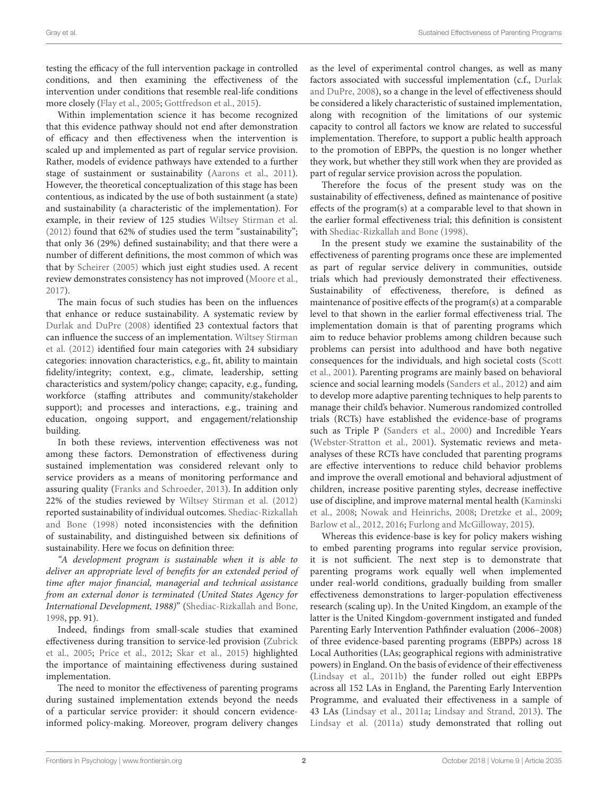testing the efficacy of the full intervention package in controlled conditions, and then examining the effectiveness of the intervention under conditions that resemble real-life conditions more closely [\(Flay et al.,](#page-9-2) [2005;](#page-9-2) [Gottfredson et al.,](#page-9-1) [2015\)](#page-9-1).

Within implementation science it has become recognized that this evidence pathway should not end after demonstration of efficacy and then effectiveness when the intervention is scaled up and implemented as part of regular service provision. Rather, models of evidence pathways have extended to a further stage of sustainment or sustainability [\(Aarons et al.,](#page-9-3) [2011\)](#page-9-3). However, the theoretical conceptualization of this stage has been contentious, as indicated by the use of both sustainment (a state) and sustainability (a characteristic of the implementation). For example, in their review of 125 studies [Wiltsey Stirman et al.](#page-10-0) [\(2012\)](#page-10-0) found that 62% of studies used the term "sustainability"; that only 36 (29%) defined sustainability; and that there were a number of different definitions, the most common of which was that by [Scheirer](#page-10-1) [\(2005\)](#page-10-1) which just eight studies used. A recent review demonstrates consistency has not improved [\(Moore et al.,](#page-9-4) [2017\)](#page-9-4).

The main focus of such studies has been on the influences that enhance or reduce sustainability. A systematic review by [Durlak and DuPre](#page-9-5) [\(2008\)](#page-9-5) identified 23 contextual factors that can influence the success of an implementation. [Wiltsey Stirman](#page-10-0) [et al.](#page-10-0) [\(2012\)](#page-10-0) identified four main categories with 24 subsidiary categories: innovation characteristics, e.g., fit, ability to maintain fidelity/integrity; context, e.g., climate, leadership, setting characteristics and system/policy change; capacity, e.g., funding, workforce (staffing attributes and community/stakeholder support); and processes and interactions, e.g., training and education, ongoing support, and engagement/relationship building.

In both these reviews, intervention effectiveness was not among these factors. Demonstration of effectiveness during sustained implementation was considered relevant only to service providers as a means of monitoring performance and assuring quality [\(Franks and Schroeder,](#page-9-6) [2013\)](#page-9-6). In addition only 22% of the studies reviewed by [Wiltsey Stirman et al.](#page-10-0) [\(2012\)](#page-10-0) reported sustainability of individual outcomes. [Shediac-Rizkallah](#page-10-2) [and Bone](#page-10-2) [\(1998\)](#page-10-2) noted inconsistencies with the definition of sustainability, and distinguished between six definitions of sustainability. Here we focus on definition three:

"A development program is sustainable when it is able to deliver an appropriate level of benefits for an extended period of time after major financial, managerial and technical assistance from an external donor is terminated (United States Agency for International Development, 1988)" [\(Shediac-Rizkallah and Bone,](#page-10-2) [1998,](#page-10-2) pp. 91).

Indeed, findings from small-scale studies that examined effectiveness during transition to service-led provision [\(Zubrick](#page-10-3) [et al.,](#page-10-3) [2005;](#page-10-3) [Price et al.,](#page-10-4) [2012;](#page-10-4) [Skar et al.,](#page-10-5) [2015\)](#page-10-5) highlighted the importance of maintaining effectiveness during sustained implementation.

The need to monitor the effectiveness of parenting programs during sustained implementation extends beyond the needs of a particular service provider: it should concern evidenceinformed policy-making. Moreover, program delivery changes

as the level of experimental control changes, as well as many factors associated with successful implementation (c.f., [Durlak](#page-9-5) [and DuPre,](#page-9-5) [2008\)](#page-9-5), so a change in the level of effectiveness should be considered a likely characteristic of sustained implementation, along with recognition of the limitations of our systemic capacity to control all factors we know are related to successful implementation. Therefore, to support a public health approach to the promotion of EBPPs, the question is no longer whether they work, but whether they still work when they are provided as part of regular service provision across the population.

Therefore the focus of the present study was on the sustainability of effectiveness, defined as maintenance of positive effects of the program(s) at a comparable level to that shown in the earlier formal effectiveness trial; this definition is consistent with [Shediac-Rizkallah and Bone](#page-10-2) [\(1998\)](#page-10-2).

In the present study we examine the sustainability of the effectiveness of parenting programs once these are implemented as part of regular service delivery in communities, outside trials which had previously demonstrated their effectiveness. Sustainability of effectiveness, therefore, is defined as maintenance of positive effects of the program(s) at a comparable level to that shown in the earlier formal effectiveness trial. The implementation domain is that of parenting programs which aim to reduce behavior problems among children because such problems can persist into adulthood and have both negative consequences for the individuals, and high societal costs [\(Scott](#page-10-6) [et al.,](#page-10-6) [2001\)](#page-10-6). Parenting programs are mainly based on behavioral science and social learning models [\(Sanders et al.,](#page-10-7) [2012\)](#page-10-7) and aim to develop more adaptive parenting techniques to help parents to manage their child's behavior. Numerous randomized controlled trials (RCTs) have established the evidence-base of programs such as Triple P [\(Sanders et al.,](#page-10-8) [2000\)](#page-10-8) and Incredible Years [\(Webster-Stratton et al.,](#page-10-9) [2001\)](#page-10-9). Systematic reviews and metaanalyses of these RCTs have concluded that parenting programs are effective interventions to reduce child behavior problems and improve the overall emotional and behavioral adjustment of children, increase positive parenting styles, decrease ineffective use of discipline, and improve maternal mental health [\(Kaminski](#page-9-7) [et al.,](#page-9-7) [2008;](#page-9-7) [Nowak and Heinrichs,](#page-9-8) [2008;](#page-9-8) [Dretzke et al.,](#page-9-9) [2009;](#page-9-9) [Barlow et al.,](#page-9-10) [2012,](#page-9-10) [2016;](#page-9-11) [Furlong and McGilloway,](#page-9-12) [2015\)](#page-9-12).

Whereas this evidence-base is key for policy makers wishing to embed parenting programs into regular service provision, it is not sufficient. The next step is to demonstrate that parenting programs work equally well when implemented under real-world conditions, gradually building from smaller effectiveness demonstrations to larger-population effectiveness research (scaling up). In the United Kingdom, an example of the latter is the United Kingdom-government instigated and funded Parenting Early Intervention Pathfinder evaluation (2006–2008) of three evidence-based parenting programs (EBPPs) across 18 Local Authorities (LAs; geographical regions with administrative powers) in England. On the basis of evidence of their effectiveness [\(Lindsay et al.,](#page-9-13) [2011b\)](#page-9-13) the funder rolled out eight EBPPs across all 152 LAs in England, the Parenting Early Intervention Programme, and evaluated their effectiveness in a sample of 43 LAs [\(Lindsay et al.,](#page-9-14) [2011a;](#page-9-14) [Lindsay and Strand,](#page-9-15) [2013\)](#page-9-15). The [Lindsay et al.](#page-9-14) [\(2011a\)](#page-9-14) study demonstrated that rolling out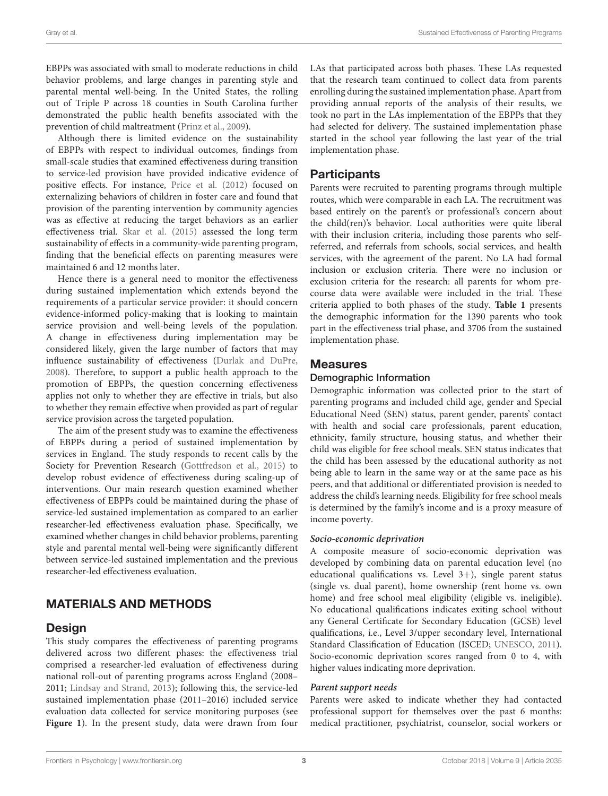EBPPs was associated with small to moderate reductions in child behavior problems, and large changes in parenting style and parental mental well-being. In the United States, the rolling out of Triple P across 18 counties in South Carolina further demonstrated the public health benefits associated with the prevention of child maltreatment [\(Prinz et al.,](#page-10-10) [2009\)](#page-10-10).

Although there is limited evidence on the sustainability of EBPPs with respect to individual outcomes, findings from small-scale studies that examined effectiveness during transition to service-led provision have provided indicative evidence of positive effects. For instance, [Price et al.](#page-10-4) [\(2012\)](#page-10-4) focused on externalizing behaviors of children in foster care and found that provision of the parenting intervention by community agencies was as effective at reducing the target behaviors as an earlier effectiveness trial. [Skar et al.](#page-10-5) [\(2015\)](#page-10-5) assessed the long term sustainability of effects in a community-wide parenting program, finding that the beneficial effects on parenting measures were maintained 6 and 12 months later.

Hence there is a general need to monitor the effectiveness during sustained implementation which extends beyond the requirements of a particular service provider: it should concern evidence-informed policy-making that is looking to maintain service provision and well-being levels of the population. A change in effectiveness during implementation may be considered likely, given the large number of factors that may influence sustainability of effectiveness [\(Durlak and DuPre,](#page-9-5) [2008\)](#page-9-5). Therefore, to support a public health approach to the promotion of EBPPs, the question concerning effectiveness applies not only to whether they are effective in trials, but also to whether they remain effective when provided as part of regular service provision across the targeted population.

The aim of the present study was to examine the effectiveness of EBPPs during a period of sustained implementation by services in England. The study responds to recent calls by the Society for Prevention Research [\(Gottfredson et al.,](#page-9-1) [2015\)](#page-9-1) to develop robust evidence of effectiveness during scaling-up of interventions. Our main research question examined whether effectiveness of EBPPs could be maintained during the phase of service-led sustained implementation as compared to an earlier researcher-led effectiveness evaluation phase. Specifically, we examined whether changes in child behavior problems, parenting style and parental mental well-being were significantly different between service-led sustained implementation and the previous researcher-led effectiveness evaluation.

# MATERIALS AND METHODS

### **Design**

This study compares the effectiveness of parenting programs delivered across two different phases: the effectiveness trial comprised a researcher-led evaluation of effectiveness during national roll-out of parenting programs across England (2008– 2011; [Lindsay and Strand,](#page-9-15) [2013\)](#page-9-15); following this, the service-led sustained implementation phase (2011–2016) included service evaluation data collected for service monitoring purposes (see **[Figure 1](#page-3-0)**). In the present study, data were drawn from four

LAs that participated across both phases. These LAs requested that the research team continued to collect data from parents enrolling during the sustained implementation phase. Apart from providing annual reports of the analysis of their results, we took no part in the LAs implementation of the EBPPs that they had selected for delivery. The sustained implementation phase started in the school year following the last year of the trial implementation phase.

### **Participants**

Parents were recruited to parenting programs through multiple routes, which were comparable in each LA. The recruitment was based entirely on the parent's or professional's concern about the child(ren)'s behavior. Local authorities were quite liberal with their inclusion criteria, including those parents who selfreferred, and referrals from schools, social services, and health services, with the agreement of the parent. No LA had formal inclusion or exclusion criteria. There were no inclusion or exclusion criteria for the research: all parents for whom precourse data were available were included in the trial. These criteria applied to both phases of the study. **[Table 1](#page-3-1)** presents the demographic information for the 1390 parents who took part in the effectiveness trial phase, and 3706 from the sustained implementation phase.

### Measures

#### Demographic Information

Demographic information was collected prior to the start of parenting programs and included child age, gender and Special Educational Need (SEN) status, parent gender, parents' contact with health and social care professionals, parent education, ethnicity, family structure, housing status, and whether their child was eligible for free school meals. SEN status indicates that the child has been assessed by the educational authority as not being able to learn in the same way or at the same pace as his peers, and that additional or differentiated provision is needed to address the child's learning needs. Eligibility for free school meals is determined by the family's income and is a proxy measure of income poverty.

#### **Socio-economic deprivation**

A composite measure of socio-economic deprivation was developed by combining data on parental education level (no educational qualifications vs. Level 3+), single parent status (single vs. dual parent), home ownership (rent home vs. own home) and free school meal eligibility (eligible vs. ineligible). No educational qualifications indicates exiting school without any General Certificate for Secondary Education (GCSE) level qualifications, i.e., Level 3/upper secondary level, International Standard Classification of Education (ISCED; [UNESCO,](#page-10-11) [2011\)](#page-10-11). Socio-economic deprivation scores ranged from 0 to 4, with higher values indicating more deprivation.

#### **Parent support needs**

Parents were asked to indicate whether they had contacted professional support for themselves over the past 6 months: medical practitioner, psychiatrist, counselor, social workers or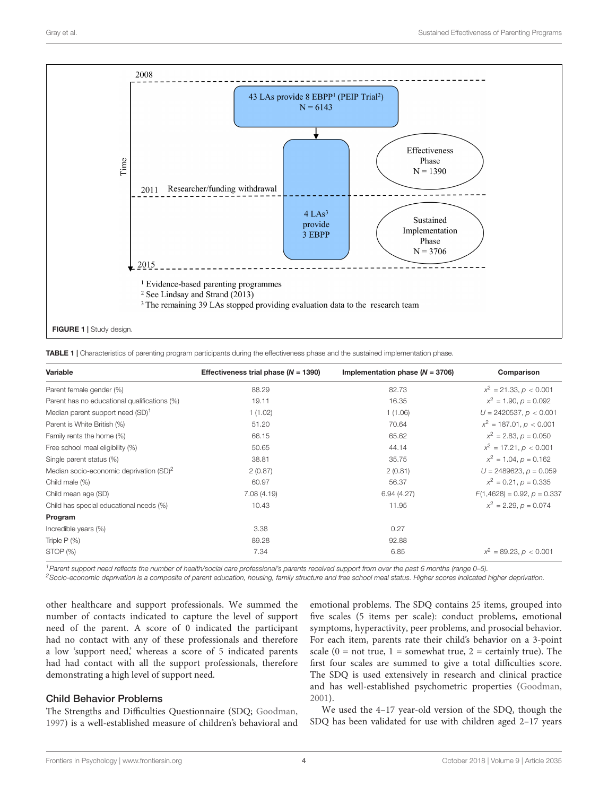

<span id="page-3-1"></span><span id="page-3-0"></span>TABLE 1 | Characteristics of parenting program participants during the effectiveness phase and the sustained implementation phase.

| Variable                                            | Effectiveness trial phase ( $N = 1390$ ) | Implementation phase $(N = 3706)$ | Comparison                    |
|-----------------------------------------------------|------------------------------------------|-----------------------------------|-------------------------------|
| Parent female gender (%)                            | 88.29                                    | 82.73                             | $x^2 = 21.33, p < 0.001$      |
| Parent has no educational qualifications (%)        | 19.11                                    | 16.35                             | $x^2 = 1.90, p = 0.092$       |
| Median parent support need (SD) <sup>1</sup>        | 1(1.02)                                  | 1(1.06)                           | $U = 2420537$ , $p < 0.001$   |
| Parent is White British (%)                         | 51.20                                    | 70.64                             | $x^2 = 187.01, p < 0.001$     |
| Family rents the home (%)                           | 66.15                                    | 65.62                             | $x^2 = 2.83, p = 0.050$       |
| Free school meal eligibility (%)                    | 50.65                                    | 44.14                             | $x^2 = 17.21, p < 0.001$      |
| Single parent status (%)                            | 38.81                                    | 35.75                             | $x^2 = 1.04$ , $p = 0.162$    |
| Median socio-economic deprivation (SD) <sup>2</sup> | 2(0.87)                                  | 2(0.81)                           | $U = 2489623$ , $p = 0.059$   |
| Child male (%)                                      | 60.97                                    | 56.37                             | $x^2 = 0.21$ , $p = 0.335$    |
| Child mean age (SD)                                 | 7.08(4.19)                               | 6.94(4.27)                        | $F(1,4628) = 0.92, p = 0.337$ |
| Child has special educational needs (%)             | 10.43                                    | 11.95                             | $x^2 = 2.29, p = 0.074$       |
| Program                                             |                                          |                                   |                               |
| Incredible years (%)                                | 3.38                                     | 0.27                              |                               |
| Triple $P$ $(\%)$                                   | 89.28                                    | 92.88                             |                               |
| STOP (%)                                            | 7.34                                     | 6.85                              | $x^2 = 89.23, p < 0.001$      |

<sup>1</sup>Parent support need reflects the number of health/social care professional's parents received support from over the past 6 months (range 0–5).

<sup>2</sup>Socio-economic deprivation is a composite of parent education, housing, family structure and free school meal status. Higher scores indicated higher deprivation.

other healthcare and support professionals. We summed the number of contacts indicated to capture the level of support need of the parent. A score of 0 indicated the participant had no contact with any of these professionals and therefore a low 'support need,' whereas a score of 5 indicated parents had had contact with all the support professionals, therefore demonstrating a high level of support need.

#### Child Behavior Problems

The Strengths and Difficulties Questionnaire (SDQ; [Goodman,](#page-9-16) [1997\)](#page-9-16) is a well-established measure of children's behavioral and

emotional problems. The SDQ contains 25 items, grouped into five scales (5 items per scale): conduct problems, emotional symptoms, hyperactivity, peer problems, and prosocial behavior. For each item, parents rate their child's behavior on a 3-point scale ( $0 = not true$ ,  $1 = somewhat true$ ,  $2 = certainly true$ ). The first four scales are summed to give a total difficulties score. The SDQ is used extensively in research and clinical practice and has well-established psychometric properties [\(Goodman,](#page-9-17) [2001\)](#page-9-17).

We used the 4–17 year-old version of the SDQ, though the SDQ has been validated for use with children aged 2–17 years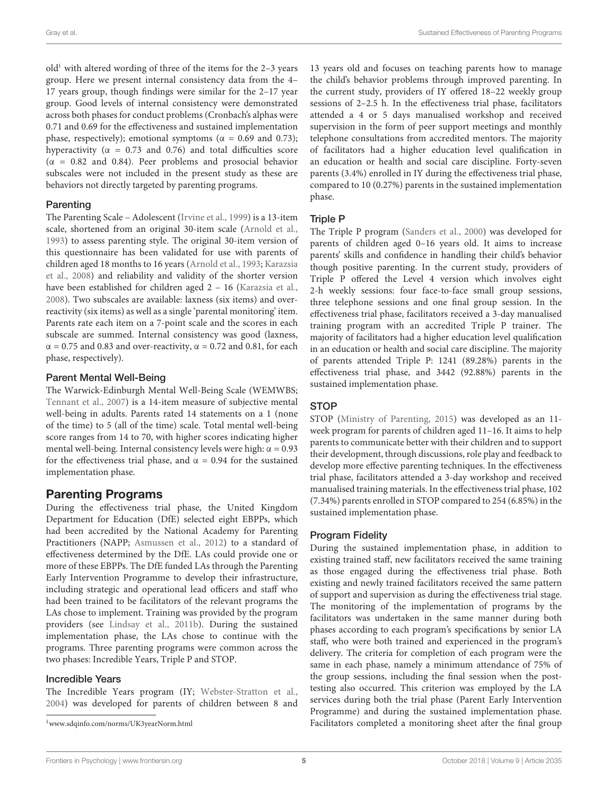$old<sup>1</sup>$  $old<sup>1</sup>$  $old<sup>1</sup>$  with altered wording of three of the items for the 2–3 years group. Here we present internal consistency data from the 4– 17 years group, though findings were similar for the 2–17 year group. Good levels of internal consistency were demonstrated across both phases for conduct problems (Cronbach's alphas were 0.71 and 0.69 for the effectiveness and sustained implementation phase, respectively); emotional symptoms ( $\alpha = 0.69$  and 0.73); hyperactivity ( $\alpha = 0.73$  and 0.76) and total difficulties score ( $\alpha$  = 0.82 and 0.84). Peer problems and prosocial behavior subscales were not included in the present study as these are behaviors not directly targeted by parenting programs.

#### Parenting

The Parenting Scale – Adolescent [\(Irvine et al.,](#page-9-18) [1999\)](#page-9-18) is a 13-item scale, shortened from an original 30-item scale [\(Arnold et al.,](#page-9-19) [1993\)](#page-9-19) to assess parenting style. The original 30-item version of this questionnaire has been validated for use with parents of children aged 18 months to 16 years [\(Arnold et al.,](#page-9-19) [1993;](#page-9-19) [Karazsia](#page-9-20) [et al.,](#page-9-20) [2008\)](#page-9-20) and reliability and validity of the shorter version have been established for children aged 2 – 16 [\(Karazsia et al.,](#page-9-20) [2008\)](#page-9-20). Two subscales are available: laxness (six items) and overreactivity (six items) as well as a single 'parental monitoring' item. Parents rate each item on a 7-point scale and the scores in each subscale are summed. Internal consistency was good (laxness,  $\alpha$  = 0.75 and 0.83 and over-reactivity,  $\alpha$  = 0.72 and 0.81, for each phase, respectively).

#### Parent Mental Well-Being

The Warwick-Edinburgh Mental Well-Being Scale (WEMWBS; [Tennant et al.,](#page-10-12) [2007\)](#page-10-12) is a 14-item measure of subjective mental well-being in adults. Parents rated 14 statements on a 1 (none of the time) to 5 (all of the time) scale. Total mental well-being score ranges from 14 to 70, with higher scores indicating higher mental well-being. Internal consistency levels were high:  $\alpha = 0.93$ for the effectiveness trial phase, and  $\alpha = 0.94$  for the sustained implementation phase.

### Parenting Programs

During the effectiveness trial phase, the United Kingdom Department for Education (DfE) selected eight EBPPs, which had been accredited by the National Academy for Parenting Practitioners (NAPP; [Asmussen et al.,](#page-9-21) [2012\)](#page-9-21) to a standard of effectiveness determined by the DfE. LAs could provide one or more of these EBPPs. The DfE funded LAs through the Parenting Early Intervention Programme to develop their infrastructure, including strategic and operational lead officers and staff who had been trained to be facilitators of the relevant programs the LAs chose to implement. Training was provided by the program providers (see [Lindsay et al.,](#page-9-13) [2011b\)](#page-9-13). During the sustained implementation phase, the LAs chose to continue with the programs. Three parenting programs were common across the two phases: Incredible Years, Triple P and STOP.

#### Incredible Years

The Incredible Years program (IY; [Webster-Stratton et al.,](#page-10-13) [2004\)](#page-10-13) was developed for parents of children between 8 and 13 years old and focuses on teaching parents how to manage the child's behavior problems through improved parenting. In the current study, providers of IY offered 18–22 weekly group sessions of 2–2.5 h. In the effectiveness trial phase, facilitators attended a 4 or 5 days manualised workshop and received supervision in the form of peer support meetings and monthly telephone consultations from accredited mentors. The majority of facilitators had a higher education level qualification in an education or health and social care discipline. Forty-seven parents (3.4%) enrolled in IY during the effectiveness trial phase, compared to 10 (0.27%) parents in the sustained implementation phase.

#### Triple P

The Triple P program [\(Sanders et al.,](#page-10-8) [2000\)](#page-10-8) was developed for parents of children aged 0–16 years old. It aims to increase parents' skills and confidence in handling their child's behavior though positive parenting. In the current study, providers of Triple P offered the Level 4 version which involves eight 2-h weekly sessions: four face-to-face small group sessions, three telephone sessions and one final group session. In the effectiveness trial phase, facilitators received a 3-day manualised training program with an accredited Triple P trainer. The majority of facilitators had a higher education level qualification in an education or health and social care discipline. The majority of parents attended Triple P: 1241 (89.28%) parents in the effectiveness trial phase, and 3442 (92.88%) parents in the sustained implementation phase.

### **STOP**

STOP [\(Ministry of Parenting,](#page-9-22) [2015\)](#page-9-22) was developed as an 11 week program for parents of children aged 11–16. It aims to help parents to communicate better with their children and to support their development, through discussions, role play and feedback to develop more effective parenting techniques. In the effectiveness trial phase, facilitators attended a 3-day workshop and received manualised training materials. In the effectiveness trial phase, 102 (7.34%) parents enrolled in STOP compared to 254 (6.85%) in the sustained implementation phase.

### Program Fidelity

During the sustained implementation phase, in addition to existing trained staff, new facilitators received the same training as those engaged during the effectiveness trial phase. Both existing and newly trained facilitators received the same pattern of support and supervision as during the effectiveness trial stage. The monitoring of the implementation of programs by the facilitators was undertaken in the same manner during both phases according to each program's specifications by senior LA staff, who were both trained and experienced in the program's delivery. The criteria for completion of each program were the same in each phase, namely a minimum attendance of 75% of the group sessions, including the final session when the posttesting also occurred. This criterion was employed by the LA services during both the trial phase (Parent Early Intervention Programme) and during the sustained implementation phase. Facilitators completed a monitoring sheet after the final group

<span id="page-4-0"></span><sup>1</sup>[www.sdqinfo.com/norms/UK3yearNorm.html](http://www.sdqinfo.com/norms/UK3yearNorm.html)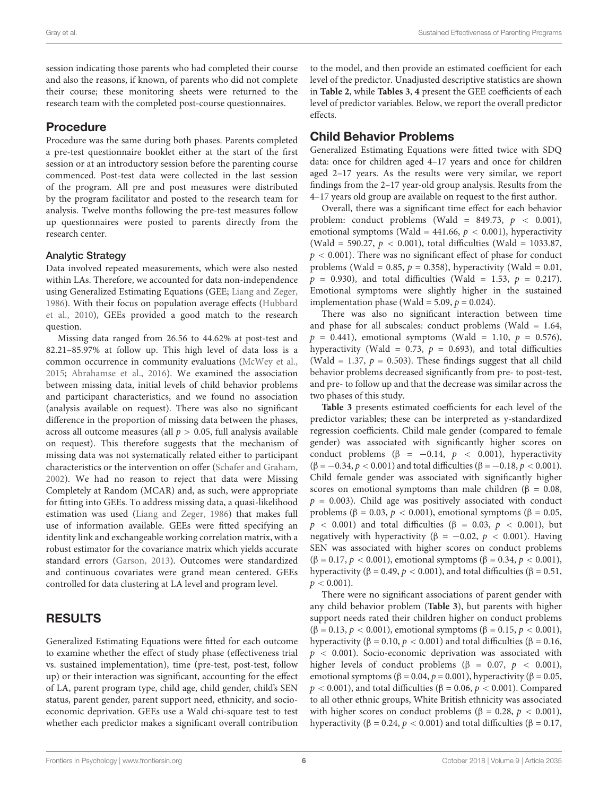session indicating those parents who had completed their course and also the reasons, if known, of parents who did not complete their course; these monitoring sheets were returned to the research team with the completed post-course questionnaires.

### Procedure

Procedure was the same during both phases. Parents completed a pre-test questionnaire booklet either at the start of the first session or at an introductory session before the parenting course commenced. Post-test data were collected in the last session of the program. All pre and post measures were distributed by the program facilitator and posted to the research team for analysis. Twelve months following the pre-test measures follow up questionnaires were posted to parents directly from the research center.

#### Analytic Strategy

Data involved repeated measurements, which were also nested within LAs. Therefore, we accounted for data non-independence using Generalized Estimating Equations (GEE; [Liang and Zeger,](#page-9-23) [1986\)](#page-9-23). With their focus on population average effects [\(Hubbard](#page-9-24) [et al.,](#page-9-24) [2010\)](#page-9-24), GEEs provided a good match to the research question.

Missing data ranged from 26.56 to 44.62% at post-test and 82.21–85.97% at follow up. This high level of data loss is a common occurrence in community evaluations [\(McWey et al.,](#page-9-25) [2015;](#page-9-25) [Abrahamse et al.,](#page-9-26) [2016\)](#page-9-26). We examined the association between missing data, initial levels of child behavior problems and participant characteristics, and we found no association (analysis available on request). There was also no significant difference in the proportion of missing data between the phases, across all outcome measures (all  $p > 0.05$ , full analysis available on request). This therefore suggests that the mechanism of missing data was not systematically related either to participant characteristics or the intervention on offer [\(Schafer and Graham,](#page-10-14) [2002\)](#page-10-14). We had no reason to reject that data were Missing Completely at Random (MCAR) and, as such, were appropriate for fitting into GEEs. To address missing data, a quasi-likelihood estimation was used [\(Liang and Zeger,](#page-9-23) [1986\)](#page-9-23) that makes full use of information available. GEEs were fitted specifying an identity link and exchangeable working correlation matrix, with a robust estimator for the covariance matrix which yields accurate standard errors [\(Garson,](#page-9-27) [2013\)](#page-9-27). Outcomes were standardized and continuous covariates were grand mean centered. GEEs controlled for data clustering at LA level and program level.

# RESULTS

Generalized Estimating Equations were fitted for each outcome to examine whether the effect of study phase (effectiveness trial vs. sustained implementation), time (pre-test, post-test, follow up) or their interaction was significant, accounting for the effect of LA, parent program type, child age, child gender, child's SEN status, parent gender, parent support need, ethnicity, and socioeconomic deprivation. GEEs use a Wald chi-square test to test whether each predictor makes a significant overall contribution

to the model, and then provide an estimated coefficient for each level of the predictor. Unadjusted descriptive statistics are shown in **[Table 2](#page-6-0)**, while **[Tables 3](#page-6-1)**, **[4](#page-6-2)** present the GEE coefficients of each level of predictor variables. Below, we report the overall predictor effects.

# Child Behavior Problems

Generalized Estimating Equations were fitted twice with SDQ data: once for children aged 4–17 years and once for children aged 2–17 years. As the results were very similar, we report findings from the 2–17 year-old group analysis. Results from the 4–17 years old group are available on request to the first author.

Overall, there was a significant time effect for each behavior problem: conduct problems (Wald = 849.73,  $p \le 0.001$ ), emotional symptoms (Wald = 441.66,  $p < 0.001$ ), hyperactivity (Wald = 590.27,  $p < 0.001$ ), total difficulties (Wald = 1033.87,  $p < 0.001$ ). There was no significant effect of phase for conduct problems (Wald = 0.85,  $p = 0.358$ ), hyperactivity (Wald = 0.01,  $p = 0.930$ , and total difficulties (Wald = 1.53,  $p = 0.217$ ). Emotional symptoms were slightly higher in the sustained implementation phase (Wald = 5.09,  $p = 0.024$ ).

There was also no significant interaction between time and phase for all subscales: conduct problems (Wald = 1.64,  $p = 0.441$ , emotional symptoms (Wald = 1.10,  $p = 0.576$ ), hyperactivity (Wald = 0.73,  $p = 0.693$ ), and total difficulties (Wald = 1.37,  $p = 0.503$ ). These findings suggest that all child behavior problems decreased significantly from pre- to post-test, and pre- to follow up and that the decrease was similar across the two phases of this study.

**[Table 3](#page-6-1)** presents estimated coefficients for each level of the predictor variables; these can be interpreted as y-standardized regression coefficients. Child male gender (compared to female gender) was associated with significantly higher scores on conduct problems ( $\beta$  = −0.14,  $p$  < 0.001), hyperactivity ( $\beta = -0.34$ ,  $p < 0.001$ ) and total difficulties ( $\beta = -0.18$ ,  $p < 0.001$ ). Child female gender was associated with significantly higher scores on emotional symptoms than male children ( $\beta = 0.08$ ,  $p = 0.003$ ). Child age was positively associated with conduct problems (β = 0.03,  $p < 0.001$ ), emotional symptoms (β = 0.05,  $p \lt 0.001$ ) and total difficulties ( $\beta = 0.03, p \lt 0.001$ ), but negatively with hyperactivity (β = -0.02,  $p$  < 0.001). Having SEN was associated with higher scores on conduct problems ( $\beta = 0.17$ ,  $p < 0.001$ ), emotional symptoms ( $\beta = 0.34$ ,  $p < 0.001$ ), hyperactivity (β = 0.49,  $p$  < 0.001), and total difficulties (β = 0.51,  $p < 0.001$ ).

There were no significant associations of parent gender with any child behavior problem (**[Table 3](#page-6-1)**), but parents with higher support needs rated their children higher on conduct problems ( $\beta = 0.13$ ,  $p < 0.001$ ), emotional symptoms ( $\beta = 0.15$ ,  $p < 0.001$ ), hyperactivity (β = 0.10,  $p$  < 0.001) and total difficulties (β = 0.16,  $p < 0.001$ ). Socio-economic deprivation was associated with higher levels of conduct problems (β = 0.07,  $p$  < 0.001), emotional symptoms ( $\beta$  = 0.04,  $p$  = 0.001), hyperactivity ( $\beta$  = 0.05,  $p < 0.001$ ), and total difficulties ( $\beta = 0.06$ ,  $p < 0.001$ ). Compared to all other ethnic groups, White British ethnicity was associated with higher scores on conduct problems (β = 0.28,  $p$  < 0.001), hyperactivity (β = 0.24,  $p < 0.001$ ) and total difficulties (β = 0.17,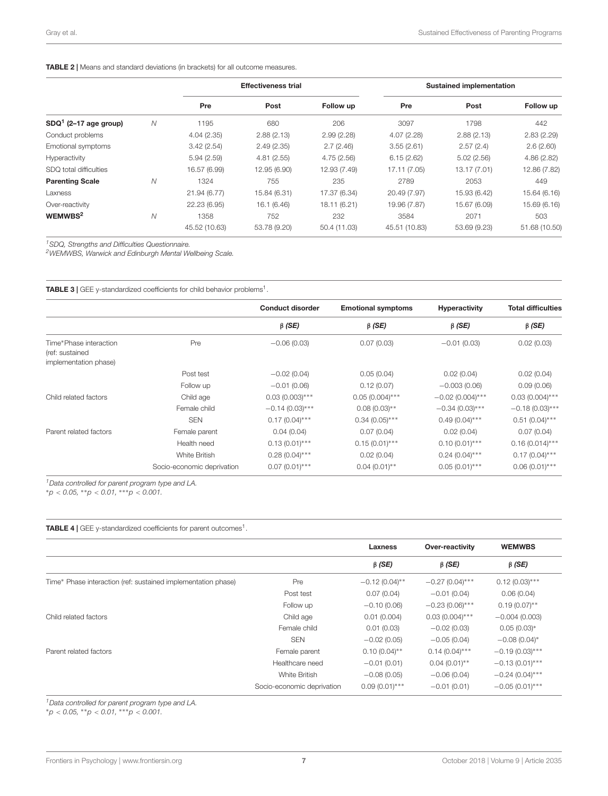#### <span id="page-6-0"></span>TABLE 2 | Means and standard deviations (in brackets) for all outcome measures.

|                         |   | <b>Effectiveness trial</b> |              |              | <b>Sustained implementation</b> |              |               |
|-------------------------|---|----------------------------|--------------|--------------|---------------------------------|--------------|---------------|
|                         |   | Pre                        | Post         | Follow up    | Pre                             | Post         | Follow up     |
| $SDQ1$ (2-17 age group) | N | 1195                       | 680          | 206          | 3097                            | 1798         | 442           |
| Conduct problems        |   | 4.04(2.35)                 | 2.88(2.13)   | 2.99(2.28)   | 4.07(2.28)                      | 2.88(2.13)   | 2.83(2.29)    |
| Emotional symptoms      |   | 3.42(2.54)                 | 2.49(2.35)   | 2.7(2.46)    | 3.55(2.61)                      | 2.57(2.4)    | 2.6(2.60)     |
| Hyperactivity           |   | 5.94(2.59)                 | 4.81(2.55)   | 4.75(2.56)   | 6.15(2.62)                      | 5.02(2.56)   | 4.86(2.82)    |
| SDQ total difficulties  |   | 16.57 (6.99)               | 12.95 (6.90) | 12.93 (7.49) | 17.11 (7.05)                    | 13.17 (7.01) | 12.86 (7.82)  |
| <b>Parenting Scale</b>  | Ν | 1324                       | 755          | 235          | 2789                            | 2053         | 449           |
| Laxness                 |   | 21.94 (6.77)               | 15.84 (6.31) | 17.37 (6.34) | 20.49 (7.97)                    | 15.93 (6.42) | 15.64 (6.16)  |
| Over-reactivity         |   | 22.23 (6.95)               | 16.1 (6.46)  | 18.11 (6.21) | 19.96 (7.87)                    | 15.67 (6.09) | 15.69 (6.16)  |
| WEMWBS <sup>2</sup>     | Ν | 1358                       | 752          | 232          | 3584                            | 2071         | 503           |
|                         |   | 45.52 (10.63)              | 53.78 (9.20) | 50.4 (11.03) | 45.51 (10.83)                   | 53.69 (9.23) | 51.68 (10.50) |

<sup>1</sup> SDQ, Strengths and Difficulties Questionnaire.

<sup>2</sup>WEMWBS, Warwick and Edinburgh Mental Wellbeing Scale.

<span id="page-6-1"></span>TABLE 3 | GEE y-standardized coefficients for child behavior problems<sup>1</sup>.

|                                                                    |                            | <b>Conduct disorder</b> | <b>Emotional symptoms</b> | <b>Hyperactivity</b> | <b>Total difficulties</b> |
|--------------------------------------------------------------------|----------------------------|-------------------------|---------------------------|----------------------|---------------------------|
|                                                                    |                            | $\beta$ (SE)            | $\beta$ (SE)              | $\beta$ (SE)         | $\beta$ (SE)              |
| Time*Phase interaction<br>(ref: sustained<br>implementation phase) | Pre                        | $-0.06(0.03)$           | 0.07(0.03)                | $-0.01(0.03)$        | 0.02(0.03)                |
|                                                                    | Post test                  | $-0.02(0.04)$           | 0.05(0.04)                | 0.02(0.04)           | 0.02(0.04)                |
|                                                                    | Follow up                  | $-0.01(0.06)$           | 0.12(0.07)                | $-0.003(0.06)$       | 0.09(0.06)                |
| Child related factors                                              | Child age                  | $0.03(0.003)$ ***       | $0.05(0.004)$ ***         | $-0.02(0.004)$ ***   | $0.03(0.004)$ ***         |
|                                                                    | Female child               | $-0.14(0.03)$ ***       | $0.08(0.03)$ **           | $-0.34(0.03)$ ***    | $-0.18(0.03)$ ***         |
|                                                                    | <b>SEN</b>                 | $0.17(0.04)$ ***        | $0.34(0.05)***$           | $0.49(0.04)$ ***     | $0.51(0.04)$ ***          |
| Parent related factors                                             | Female parent              | 0.04(0.04)              | 0.07(0.04)                | 0.02(0.04)           | 0.07(0.04)                |
|                                                                    | Health need                | $0.13(0.01)$ ***        | $0.15(0.01)$ ***          | $0.10(0.01)$ ***     | $0.16(0.014)$ ***         |
|                                                                    | White British              | $0.28(0.04)$ ***        | 0.02(0.04)                | $0.24(0.04)$ ***     | $0.17(0.04)$ ***          |
|                                                                    | Socio-economic deprivation | $0.07(0.01)$ ***        | $0.04(0.01)$ **           | $0.05(0.01)$ ***     | $0.06(0.01)$ ***          |

<sup>1</sup> Data controlled for parent program type and LA.

 ${}^{*}p$  < 0.05,  ${}^{*}p$  < 0.01,  ${}^{***}p$  < 0.001.

#### <span id="page-6-2"></span>**TABLE 4**  $\vert$  GEE y-standardized coefficients for parent outcomes<sup>1</sup>.

|                                                               |                            | Laxness          | Over-reactivity   | <b>WEMWBS</b>     |
|---------------------------------------------------------------|----------------------------|------------------|-------------------|-------------------|
|                                                               |                            | $\beta$ (SE)     | $\beta$ (SE)      | $\beta$ (SE)      |
| Time* Phase interaction (ref: sustained implementation phase) | Pre                        | $-0.12(0.04)$ ** | $-0.27(0.04)$ *** | $0.12(0.03)$ ***  |
|                                                               | Post test                  | 0.07(0.04)       | $-0.01(0.04)$     | 0.06(0.04)        |
|                                                               | Follow up                  | $-0.10(0.06)$    | $-0.23(0.06)$ *** | $0.19(0.07)$ **   |
| Child related factors                                         | Child age                  | 0.01(0.004)      | $0.03(0.004)$ *** | $-0.004(0.003)$   |
|                                                               | Female child               | 0.01(0.03)       | $-0.02(0.03)$     | $0.05(0.03)$ *    |
|                                                               | <b>SEN</b>                 | $-0.02(0.05)$    | $-0.05(0.04)$     | $-0.08(0.04)$ *   |
| Parent related factors                                        | Female parent              | $0.10(0.04)$ **  | $0.14(0.04)$ ***  | $-0.19(0.03)$ *** |
|                                                               | Healthcare need            | $-0.01(0.01)$    | $0.04(0.01)$ **   | $-0.13(0.01)$ *** |
|                                                               | White British              | $-0.08(0.05)$    | $-0.06(0.04)$     | $-0.24(0.04)$ *** |
|                                                               | Socio-economic deprivation | $0.09(0.01)$ *** | $-0.01(0.01)$     | $-0.05(0.01)$ *** |

<sup>1</sup> Data controlled for parent program type and LA.

 ${}^{*}p$  < 0.05,  ${}^{*}p$  < 0.01,  ${}^{***}p$  < 0.001.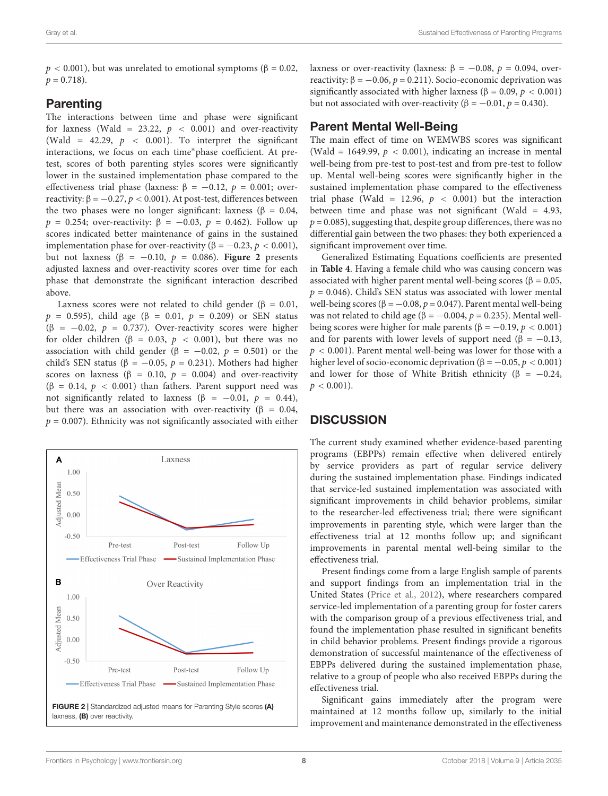$p < 0.001$ ), but was unrelated to emotional symptoms ( $\beta = 0.02$ ,  $p = 0.718$ .

### Parenting

The interactions between time and phase were significant for laxness (Wald = 23.22,  $p < 0.001$ ) and over-reactivity (Wald = 42.29,  $p \lt 0.001$ ). To interpret the significant interactions, we focus on each time∗phase coefficient. At pretest, scores of both parenting styles scores were significantly lower in the sustained implementation phase compared to the effectiveness trial phase (laxness:  $β = -0.12$ ,  $p = 0.001$ ; overreactivity:  $β = -0.27, p < 0.001$ ). At post-test, differences between the two phases were no longer significant: laxness (β = 0.04,  $p = 0.254$ ; over-reactivity:  $\beta = -0.03$ ,  $p = 0.462$ ). Follow up scores indicated better maintenance of gains in the sustained implementation phase for over-reactivity (β = -0.23,  $p < 0.001$ ), but not laxness (β = −0.10, p = 0.086). **[Figure 2](#page-7-0)** presents adjusted laxness and over-reactivity scores over time for each phase that demonstrate the significant interaction described above.

Laxness scores were not related to child gender ( $\beta = 0.01$ ,  $p = 0.595$ ), child age (β = 0.01,  $p = 0.209$ ) or SEN status ( $\beta$  = -0.02,  $p$  = 0.737). Over-reactivity scores were higher for older children (β = 0.03, p < 0.001), but there was no association with child gender ( $\beta$  = -0.02,  $p$  = 0.501) or the child's SEN status (β = -0.05,  $p = 0.231$ ). Mothers had higher scores on laxness ( $\beta$  = 0.10,  $p$  = 0.004) and over-reactivity ( $\beta$  = 0.14,  $p$  < 0.001) than fathers. Parent support need was not significantly related to laxness ( $\beta$  = -0.01,  $p$  = 0.44), but there was an association with over-reactivity ( $\beta = 0.04$ ,  $p = 0.007$ ). Ethnicity was not significantly associated with either

<span id="page-7-0"></span>

laxness or over-reactivity (laxness:  $β = -0.08$ ,  $p = 0.094$ , overreactivity:  $\beta = -0.06$ ,  $p = 0.211$ ). Socio-economic deprivation was significantly associated with higher laxness ( $\beta = 0.09$ ,  $p < 0.001$ ) but not associated with over-reactivity (β = -0.01,  $p = 0.430$ ).

### Parent Mental Well-Being

The main effect of time on WEMWBS scores was significant (Wald = 1649.99,  $p < 0.001$ ), indicating an increase in mental well-being from pre-test to post-test and from pre-test to follow up. Mental well-being scores were significantly higher in the sustained implementation phase compared to the effectiveness trial phase (Wald = 12.96,  $p < 0.001$ ) but the interaction between time and phase was not significant (Wald = 4.93,  $p = 0.085$ , suggesting that, despite group differences, there was no differential gain between the two phases: they both experienced a significant improvement over time.

Generalized Estimating Equations coefficients are presented in **[Table 4](#page-6-2)**. Having a female child who was causing concern was associated with higher parent mental well-being scores (β =  $0.05$ ,  $p = 0.046$ ). Child's SEN status was associated with lower mental well-being scores ( $β = -0.08$ ,  $p = 0.047$ ). Parent mental well-being was not related to child age ( $\beta = -0.004$ ,  $p = 0.235$ ). Mental wellbeing scores were higher for male parents ( $β = -0.19, p < 0.001$ ) and for parents with lower levels of support need ( $\beta = -0.13$ ,  $p < 0.001$ ). Parent mental well-being was lower for those with a higher level of socio-economic deprivation (β =  $-0.05$ ,  $p < 0.001$ ) and lower for those of White British ethnicity ( $\beta = -0.24$ ,  $p < 0.001$ ).

### **DISCUSSION**

The current study examined whether evidence-based parenting programs (EBPPs) remain effective when delivered entirely by service providers as part of regular service delivery during the sustained implementation phase. Findings indicated that service-led sustained implementation was associated with significant improvements in child behavior problems, similar to the researcher-led effectiveness trial; there were significant improvements in parenting style, which were larger than the effectiveness trial at 12 months follow up; and significant improvements in parental mental well-being similar to the effectiveness trial.

Present findings come from a large English sample of parents and support findings from an implementation trial in the United States [\(Price et al.,](#page-10-4) [2012\)](#page-10-4), where researchers compared service-led implementation of a parenting group for foster carers with the comparison group of a previous effectiveness trial, and found the implementation phase resulted in significant benefits in child behavior problems. Present findings provide a rigorous demonstration of successful maintenance of the effectiveness of EBPPs delivered during the sustained implementation phase, relative to a group of people who also received EBPPs during the effectiveness trial.

Significant gains immediately after the program were maintained at 12 months follow up, similarly to the initial improvement and maintenance demonstrated in the effectiveness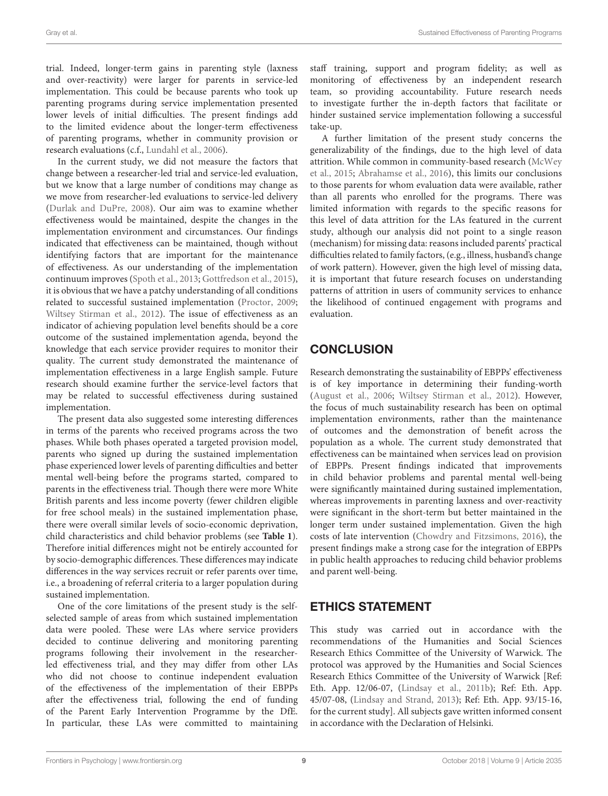trial. Indeed, longer-term gains in parenting style (laxness and over-reactivity) were larger for parents in service-led implementation. This could be because parents who took up parenting programs during service implementation presented lower levels of initial difficulties. The present findings add to the limited evidence about the longer-term effectiveness of parenting programs, whether in community provision or research evaluations (c.f., [Lundahl et al.,](#page-9-28) [2006\)](#page-9-28).

In the current study, we did not measure the factors that change between a researcher-led trial and service-led evaluation, but we know that a large number of conditions may change as we move from researcher-led evaluations to service-led delivery [\(Durlak and DuPre,](#page-9-5) [2008\)](#page-9-5). Our aim was to examine whether effectiveness would be maintained, despite the changes in the implementation environment and circumstances. Our findings indicated that effectiveness can be maintained, though without identifying factors that are important for the maintenance of effectiveness. As our understanding of the implementation continuum improves [\(Spoth et al.,](#page-10-15) [2013;](#page-10-15) [Gottfredson et al.,](#page-9-1) [2015\)](#page-9-1), it is obvious that we have a patchy understanding of all conditions related to successful sustained implementation [\(Proctor,](#page-10-16) [2009;](#page-10-16) [Wiltsey Stirman et al.,](#page-10-0) [2012\)](#page-10-0). The issue of effectiveness as an indicator of achieving population level benefits should be a core outcome of the sustained implementation agenda, beyond the knowledge that each service provider requires to monitor their quality. The current study demonstrated the maintenance of implementation effectiveness in a large English sample. Future research should examine further the service-level factors that may be related to successful effectiveness during sustained implementation.

The present data also suggested some interesting differences in terms of the parents who received programs across the two phases. While both phases operated a targeted provision model, parents who signed up during the sustained implementation phase experienced lower levels of parenting difficulties and better mental well-being before the programs started, compared to parents in the effectiveness trial. Though there were more White British parents and less income poverty (fewer children eligible for free school meals) in the sustained implementation phase, there were overall similar levels of socio-economic deprivation, child characteristics and child behavior problems (see **[Table 1](#page-3-1)**). Therefore initial differences might not be entirely accounted for by socio-demographic differences. These differences may indicate differences in the way services recruit or refer parents over time, i.e., a broadening of referral criteria to a larger population during sustained implementation.

One of the core limitations of the present study is the selfselected sample of areas from which sustained implementation data were pooled. These were LAs where service providers decided to continue delivering and monitoring parenting programs following their involvement in the researcherled effectiveness trial, and they may differ from other LAs who did not choose to continue independent evaluation of the effectiveness of the implementation of their EBPPs after the effectiveness trial, following the end of funding of the Parent Early Intervention Programme by the DfE. In particular, these LAs were committed to maintaining staff training, support and program fidelity; as well as monitoring of effectiveness by an independent research team, so providing accountability. Future research needs to investigate further the in-depth factors that facilitate or hinder sustained service implementation following a successful take-up.

A further limitation of the present study concerns the generalizability of the findings, due to the high level of data attrition. While common in community-based research [\(McWey](#page-9-25) [et al.,](#page-9-25) [2015;](#page-9-25) [Abrahamse et al.,](#page-9-26) [2016\)](#page-9-26), this limits our conclusions to those parents for whom evaluation data were available, rather than all parents who enrolled for the programs. There was limited information with regards to the specific reasons for this level of data attrition for the LAs featured in the current study, although our analysis did not point to a single reason (mechanism) for missing data: reasons included parents' practical difficulties related to family factors, (e.g., illness, husband's change of work pattern). However, given the high level of missing data, it is important that future research focuses on understanding patterns of attrition in users of community services to enhance the likelihood of continued engagement with programs and evaluation.

### **CONCLUSION**

Research demonstrating the sustainability of EBPPs' effectiveness is of key importance in determining their funding-worth [\(August et al.,](#page-9-29) [2006;](#page-9-29) [Wiltsey Stirman et al.,](#page-10-0) [2012\)](#page-10-0). However, the focus of much sustainability research has been on optimal implementation environments, rather than the maintenance of outcomes and the demonstration of benefit across the population as a whole. The current study demonstrated that effectiveness can be maintained when services lead on provision of EBPPs. Present findings indicated that improvements in child behavior problems and parental mental well-being were significantly maintained during sustained implementation, whereas improvements in parenting laxness and over-reactivity were significant in the short-term but better maintained in the longer term under sustained implementation. Given the high costs of late intervention [\(Chowdry and Fitzsimons,](#page-9-30) [2016\)](#page-9-30), the present findings make a strong case for the integration of EBPPs in public health approaches to reducing child behavior problems and parent well-being.

# ETHICS STATEMENT

This study was carried out in accordance with the recommendations of the Humanities and Social Sciences Research Ethics Committee of the University of Warwick. The protocol was approved by the Humanities and Social Sciences Research Ethics Committee of the University of Warwick [Ref: Eth. App. 12/06-07, [\(Lindsay et al.,](#page-9-13) [2011b\)](#page-9-13); Ref: Eth. App. 45/07-08, [\(Lindsay and Strand,](#page-9-15) [2013\)](#page-9-15); Ref: Eth. App. 93/15-16, for the current study]. All subjects gave written informed consent in accordance with the Declaration of Helsinki.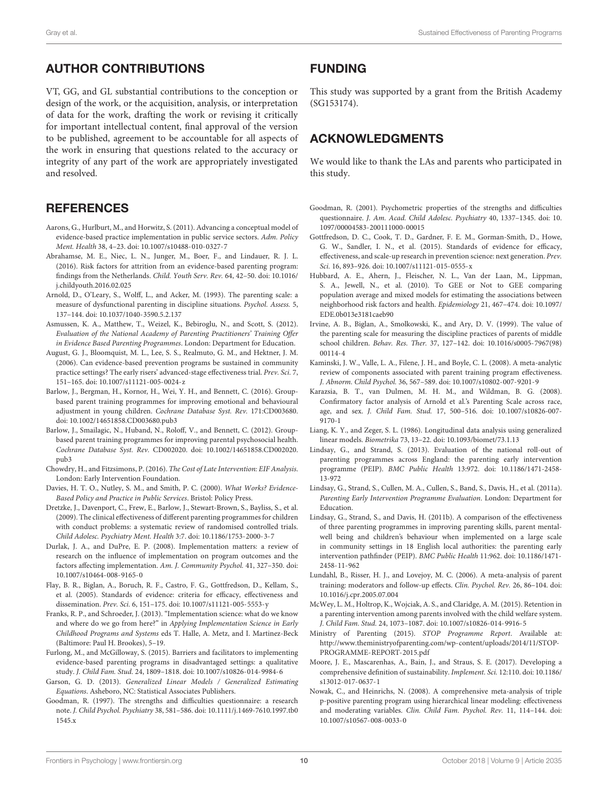### AUTHOR CONTRIBUTIONS

VT, GG, and GL substantial contributions to the conception or design of the work, or the acquisition, analysis, or interpretation of data for the work, drafting the work or revising it critically for important intellectual content, final approval of the version to be published, agreement to be accountable for all aspects of the work in ensuring that questions related to the accuracy or integrity of any part of the work are appropriately investigated and resolved.

### **REFERENCES**

- <span id="page-9-3"></span>Aarons, G., Hurlburt, M., and Horwitz, S. (2011). Advancing a conceptual model of evidence-based practice implementation in public service sectors. Adm. Policy Ment. Health 38, 4–23. [doi: 10.1007/s10488-010-0327-7](https://doi.org/10.1007/s10488-010-0327-7)
- <span id="page-9-26"></span>Abrahamse, M. E., Niec, L. N., Junger, M., Boer, F., and Lindauer, R. J. L. (2016). Risk factors for attrition from an evidence-based parenting program: findings from the Netherlands. Child. Youth Serv. Rev. 64, 42–50. [doi: 10.1016/](https://doi.org/10.1016/j.childyouth.2016.02.025) [j.childyouth.2016.02.025](https://doi.org/10.1016/j.childyouth.2016.02.025)
- <span id="page-9-19"></span>Arnold, D., O'Leary, S., Wolff, L., and Acker, M. (1993). The parenting scale: a measure of dysfunctional parenting in discipline situations. Psychol. Assess. 5, 137–144. [doi: 10.1037/1040-3590.5.2.137](https://doi.org/10.1037/1040-3590.5.2.137)
- <span id="page-9-21"></span>Asmussen, K. A., Matthew, T., Weizel, K., Bebiroglu, N., and Scott, S. (2012). Evaluation of the National Academy of Parenting Practitioners' Training Offer in Evidence Based Parenting Programmes. London: Department for Education.
- <span id="page-9-29"></span>August, G. J., Bloomquist, M. L., Lee, S. S., Realmuto, G. M., and Hektner, J. M. (2006). Can evidence-based prevention programs be sustained in community practice settings? The early risers' advanced-stage effectiveness trial. Prev. Sci. 7, 151–165. [doi: 10.1007/s11121-005-0024-z](https://doi.org/10.1007/s11121-005-0024-z)
- <span id="page-9-11"></span>Barlow, J., Bergman, H., Kornor, H., Wei, Y. H., and Bennett, C. (2016). Groupbased parent training programmes for improving emotional and behavioural adjustment in young children. Cochrane Database Syst. Rev. 171:CD003680. [doi: 10.1002/14651858.CD003680.pub3](https://doi.org/10.1002/14651858.CD003680.pub3)
- <span id="page-9-10"></span>Barlow, J., Smailagic, N., Huband, N., Roloff, V., and Bennett, C. (2012). Groupbased parent training programmes for improving parental psychosocial health. Cochrane Database Syst. Rev. CD002020. [doi: 10.1002/14651858.CD002020.](https://doi.org/10.1002/14651858.CD002020.pub3) [pub3](https://doi.org/10.1002/14651858.CD002020.pub3)
- <span id="page-9-30"></span>Chowdry, H., and Fitzsimons, P. (2016). The Cost of Late Intervention: EIF Analysis. London: Early Intervention Foundation.
- <span id="page-9-0"></span>Davies, H. T. O., Nutley, S. M., and Smith, P. C. (2000). What Works? Evidence-Based Policy and Practice in Public Services. Bristol: Policy Press.
- <span id="page-9-9"></span>Dretzke, J., Davenport, C., Frew, E., Barlow, J., Stewart-Brown, S., Bayliss, S., et al. (2009). The clinical effectiveness of different parenting programmes for children with conduct problems: a systematic review of randomised controlled trials. Child Adolesc. Psychiatry Ment. Health 3:7. [doi: 10.1186/1753-2000-3-7](https://doi.org/10.1186/1753-2000-3-7)
- <span id="page-9-5"></span>Durlak, J. A., and DuPre, E. P. (2008). Implementation matters: a review of research on the influence of implementation on program outcomes and the factors affecting implementation. Am. J. Community Psychol. 41, 327–350. [doi:](https://doi.org/10.1007/s10464-008-9165-0) [10.1007/s10464-008-9165-0](https://doi.org/10.1007/s10464-008-9165-0)
- <span id="page-9-2"></span>Flay, B. R., Biglan, A., Boruch, R. F., Castro, F. G., Gottfredson, D., Kellam, S., et al. (2005). Standards of evidence: criteria for efficacy, effectiveness and dissemination. Prev. Sci. 6, 151–175. [doi: 10.1007/s11121-005-5553-y](https://doi.org/10.1007/s11121-005-5553-y)
- <span id="page-9-6"></span>Franks, R. P., and Schroeder, J. (2013). "Implementation science: what do we know and where do we go from here?" in Applying Implementation Science in Early Childhood Programs and Systems eds T. Halle, A. Metz, and I. Martinez-Beck (Baltimore: Paul H. Brookes), 5–19.
- <span id="page-9-12"></span>Furlong, M., and McGilloway, S. (2015). Barriers and facilitators to implementing evidence-based parenting programs in disadvantaged settings: a qualitative study. J. Child Fam. Stud. 24, 1809–1818. [doi: 10.1007/s10826-014-9984-6](https://doi.org/10.1007/s10826-014-9984-6)
- <span id="page-9-27"></span>Garson, G. D. (2013). Generalized Linear Models / Generalized Estimating Equations. Asheboro, NC: Statistical Associates Publishers.
- <span id="page-9-16"></span>Goodman, R. (1997). The strengths and difficulties questionnaire: a research note. J. Child Psychol. Psychiatry 38, 581–586. [doi: 10.1111/j.1469-7610.1997.tb0](https://doi.org/10.1111/j.1469-7610.1997.tb01545.x) [1545.x](https://doi.org/10.1111/j.1469-7610.1997.tb01545.x)

### FUNDING

This study was supported by a grant from the British Academy (SG153174).

### ACKNOWLEDGMENTS

We would like to thank the LAs and parents who participated in this study.

- <span id="page-9-17"></span>Goodman, R. (2001). Psychometric properties of the strengths and difficulties questionnaire. J. Am. Acad. Child Adolesc. Psychiatry 40, 1337–1345. [doi: 10.](https://doi.org/10.1097/00004583-200111000-00015) [1097/00004583-200111000-00015](https://doi.org/10.1097/00004583-200111000-00015)
- <span id="page-9-1"></span>Gottfredson, D. C., Cook, T. D., Gardner, F. E. M., Gorman-Smith, D., Howe, G. W., Sandler, I. N., et al. (2015). Standards of evidence for efficacy, effectiveness, and scale-up research in prevention science: next generation. Prev. Sci. 16, 893–926. [doi: 10.1007/s11121-015-0555-x](https://doi.org/10.1007/s11121-015-0555-x)
- <span id="page-9-24"></span>Hubbard, A. E., Ahern, J., Fleischer, N. L., Van der Laan, M., Lippman, S. A., Jewell, N., et al. (2010). To GEE or Not to GEE comparing population average and mixed models for estimating the associations between neighborhood risk factors and health. Epidemiology 21, 467–474. [doi: 10.1097/](https://doi.org/10.1097/EDE.0b013e3181caeb90) [EDE.0b013e3181caeb90](https://doi.org/10.1097/EDE.0b013e3181caeb90)
- <span id="page-9-18"></span>Irvine, A. B., Biglan, A., Smolkowski, K., and Ary, D. V. (1999). The value of the parenting scale for measuring the discipline practices of parents of middle school children. Behav. Res. Ther. 37, 127–142. [doi: 10.1016/s0005-7967\(98\)](https://doi.org/10.1016/s0005-7967(98)00114-4) [00114-4](https://doi.org/10.1016/s0005-7967(98)00114-4)
- <span id="page-9-7"></span>Kaminski, J. W., Valle, L. A., Filene, J. H., and Boyle, C. L. (2008). A meta-analytic review of components associated with parent training program effectiveness. J. Abnorm. Child Psychol. 36, 567–589. [doi: 10.1007/s10802-007-9201-9](https://doi.org/10.1007/s10802-007-9201-9)
- <span id="page-9-20"></span>Karazsia, B. T., van Dulmen, M. H. M., and Wildman, B. G. (2008). Confirmatory factor analysis of Arnold et al.'s Parenting Scale across race, age, and sex. J. Child Fam. Stud. 17, 500–516. [doi: 10.1007/s10826-007-](https://doi.org/10.1007/s10826-007-9170-1) [9170-1](https://doi.org/10.1007/s10826-007-9170-1)
- <span id="page-9-23"></span>Liang, K. Y., and Zeger, S. L. (1986). Longitudinal data analysis using generalized linear models. Biometrika 73, 13–22. [doi: 10.1093/biomet/73.1.13](https://doi.org/10.1093/biomet/73.1.13)
- <span id="page-9-15"></span>Lindsay, G., and Strand, S. (2013). Evaluation of the national roll-out of parenting programmes across England: the parenting early intervention programme (PEIP). BMC Public Health 13:972. [doi: 10.1186/1471-2458-](https://doi.org/10.1186/1471-2458-13-972) [13-972](https://doi.org/10.1186/1471-2458-13-972)
- <span id="page-9-14"></span>Lindsay, G., Strand, S., Cullen, M. A., Cullen, S., Band, S., Davis, H., et al. (2011a). Parenting Early Intervention Programme Evaluation. London: Department for Education.
- <span id="page-9-13"></span>Lindsay, G., Strand, S., and Davis, H. (2011b). A comparison of the effectiveness of three parenting programmes in improving parenting skills, parent mentalwell being and children's behaviour when implemented on a large scale in community settings in 18 English local authorities: the parenting early intervention pathfinder (PEIP). BMC Public Health 11:962. [doi: 10.1186/1471-](https://doi.org/10.1186/1471-2458-11-962) [2458-11-962](https://doi.org/10.1186/1471-2458-11-962)
- <span id="page-9-28"></span>Lundahl, B., Risser, H. J., and Lovejoy, M. C. (2006). A meta-analysis of parent training: moderators and follow-up effects. Clin. Psychol. Rev. 26, 86–104. [doi:](https://doi.org/10.1016/j.cpr.2005.07.004) [10.1016/j.cpr.2005.07.004](https://doi.org/10.1016/j.cpr.2005.07.004)
- <span id="page-9-25"></span>McWey, L. M., Holtrop, K., Wojciak, A. S., and Claridge, A. M. (2015). Retention in a parenting intervention among parents involved with the child welfare system. J. Child Fam. Stud. 24, 1073–1087. [doi: 10.1007/s10826-014-9916-5](https://doi.org/10.1007/s10826-014-9916-5)
- <span id="page-9-22"></span>Ministry of Parenting (2015). STOP Programme Report. Available at: [http://www.theministryofparenting.com/wp-content/uploads/2014/11/STOP-](http://www.theministryofparenting.com/wp-content/uploads/2014/11/STOP-PROGRAMME-REPORT-2015.pdf)[PROGRAMME-REPORT-2015.pdf](http://www.theministryofparenting.com/wp-content/uploads/2014/11/STOP-PROGRAMME-REPORT-2015.pdf)
- <span id="page-9-4"></span>Moore, J. E., Mascarenhas, A., Bain, J., and Straus, S. E. (2017). Developing a comprehensive definition of sustainability. Implement. Sci. 12:110. [doi: 10.1186/](https://doi.org/10.1186/s13012-017-0637-1) [s13012-017-0637-1](https://doi.org/10.1186/s13012-017-0637-1)
- <span id="page-9-8"></span>Nowak, C., and Heinrichs, N. (2008). A comprehensive meta-analysis of triple p-positive parenting program using hierarchical linear modeling: effectiveness and moderating variables. Clin. Child Fam. Psychol. Rev. 11, 114–144. [doi:](https://doi.org/10.1007/s10567-008-0033-0) [10.1007/s10567-008-0033-0](https://doi.org/10.1007/s10567-008-0033-0)